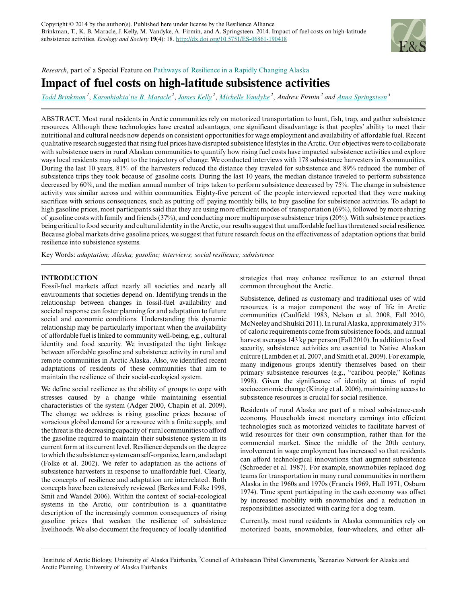

*Research*, part of a Special Feature on [Pathways of Resilience in a Rapidly Changing Alaska](http://www.ecologyandsociety.org/viewissue.php?sf=104)

# **Impact of fuel costs on high-latitude subsistence activities**

*[Todd Brinkman](mailto:tjbrinkman@alaska.edu)<sup>1</sup>* , *[Karonhiakta'tie B. Maracle](mailto:bmmaracle@alaska.edu)<sup>2</sup>* , *[James Kelly](mailto:jkelly@catg.org)<sup>2</sup>* , *[Michelle Vandyke](mailto:mvandyke@catg.org)<sup>2</sup>* , *Andrew Firmin<sup>2</sup> and [Anna Springsteen](mailto:alspringsteen@alaska.edu)<sup>3</sup>*

ABSTRACT. Most rural residents in Arctic communities rely on motorized transportation to hunt, fish, trap, and gather subsistence resources. Although these technologies have created advantages, one significant disadvantage is that peoples' ability to meet their nutritional and cultural needs now depends on consistent opportunities for wage employment and availability of affordable fuel. Recent qualitative research suggested that rising fuel prices have disrupted subsistence lifestyles in the Arctic. Our objectives were to collaborate with subsistence users in rural Alaskan communities to quantify how rising fuel costs have impacted subsistence activities and explore ways local residents may adapt to the trajectory of change. We conducted interviews with 178 subsistence harvesters in 8 communities. During the last 10 years, 81% of the harvesters reduced the distance they traveled for subsistence and 89% reduced the number of subsistence trips they took because of gasoline costs. During the last 10 years, the median distance traveled to perform subsistence decreased by 60%, and the median annual number of trips taken to perform subsistence decreased by 75%. The change in subsistence activity was similar across and within communities. Eighty-five percent of the people interviewed reported that they were making sacrifices with serious consequences, such as putting off paying monthly bills, to buy gasoline for subsistence activities. To adapt to high gasoline prices, most participants said that they are using more efficient modes of transportation (69%), followed by more sharing of gasoline costs with family and friends (37%), and conducting more multipurpose subsistence trips (20%). With subsistence practices being critical to food security and cultural identity in the Arctic, our results suggest that unaffordable fuel has threatened social resilience. Because global markets drive gasoline prices, we suggest that future research focus on the effectiveness of adaptation options that build resilience into subsistence systems.

Key Words: *adaptation; Alaska; gasoline; interviews; social resilience; subsistence*

# **INTRODUCTION**

Fossil-fuel markets affect nearly all societies and nearly all environments that societies depend on. Identifying trends in the relationship between changes in fossil-fuel availability and societal response can foster planning for and adaptation to future social and economic conditions. Understanding this dynamic relationship may be particularly important when the availability of affordable fuel is linked to community well-being, e.g., cultural identity and food security. We investigated the tight linkage between affordable gasoline and subsistence activity in rural and remote communities in Arctic Alaska. Also, we identified recent adaptations of residents of these communities that aim to maintain the resilience of their social-ecological system.

We define social resilience as the ability of groups to cope with stresses caused by a change while maintaining essential characteristics of the system (Adger 2000, Chapin et al. 2009). The change we address is rising gasoline prices because of voracious global demand for a resource with a finite supply, and the threat is the decreasing capacity of rural communities to afford the gasoline required to maintain their subsistence system in its current form at its current level. Resilience depends on the degree to which the subsistence system can self-organize, learn, and adapt (Folke et al. 2002). We refer to adaptation as the actions of subsistence harvesters in response to unaffordable fuel. Clearly, the concepts of resilience and adaptation are interrelated. Both concepts have been extensively reviewed (Berkes and Folke 1998, Smit and Wandel 2006). Within the context of social-ecological systems in the Arctic, our contribution is a quantitative description of the increasingly common consequences of rising gasoline prices that weaken the resilience of subsistence livelihoods. We also document the frequency of locally identified

strategies that may enhance resilience to an external threat common throughout the Arctic.

Subsistence, defined as customary and traditional uses of wild resources, is a major component the way of life in Arctic communities (Caulfield 1983, Nelson et al. 2008, Fall 2010, McNeeley and Shulski 2011). In rural Alaska, approximately 31% of caloric requirements come from subsistence foods, and annual harvest averages 143 kg per person (Fall 2010). In addition to food security, subsistence activities are essential to Native Alaskan culture (Lambden et al. 2007, and Smith et al. 2009). For example, many indigenous groups identify themselves based on their primary subsistence resources (e.g., "caribou people," Kofinas 1998). Given the significance of identity at times of rapid socioeconomic change (Kinzig et al. 2006), maintaining access to subsistence resources is crucial for social resilience.

Residents of rural Alaska are part of a mixed subsistence-cash economy. Households invest monetary earnings into efficient technologies such as motorized vehicles to facilitate harvest of wild resources for their own consumption, rather than for the commercial market. Since the middle of the 20th century, involvement in wage employment has increased so that residents can afford technological innovations that augment subsistence (Schroeder et al. 1987). For example, snowmobiles replaced dog teams for transportation in many rural communities in northern Alaska in the 1960s and 1970s (Francis 1969, Hall 1971, Osburn 1974). Time spent participating in the cash economy was offset by increased mobility with snowmobiles and a reduction in responsibilities associated with caring for a dog team.

Currently, most rural residents in Alaska communities rely on motorized boats, snowmobiles, four-wheelers, and other all-

<sup>&</sup>lt;sup>1</sup>Institute of Arctic Biology, University of Alaska Fairbanks, <sup>2</sup>Council of Athabascan Tribal Governments, <sup>3</sup>Scenarios Network for Alaska and Arctic Planning, University of Alaska Fairbanks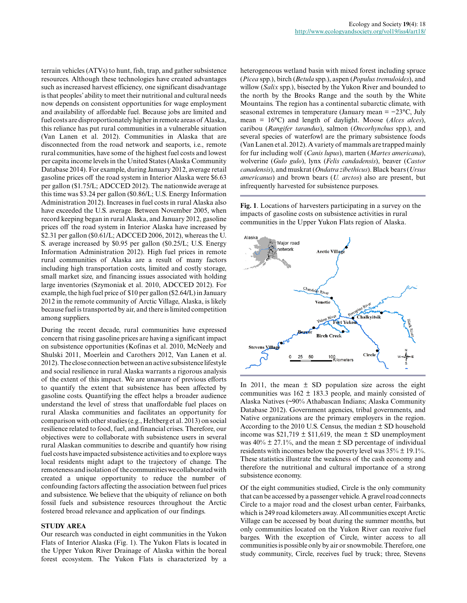terrain vehicles (ATVs) to hunt, fish, trap, and gather subsistence resources. Although these technologies have created advantages such as increased harvest efficiency, one significant disadvantage is that peoples' ability to meet their nutritional and cultural needs now depends on consistent opportunities for wage employment and availability of affordable fuel. Because jobs are limited and fuel costs are disproportionately higher in remote areas of Alaska, this reliance has put rural communities in a vulnerable situation (Van Lanen et al. 2012). Communities in Alaska that are disconnected from the road network and seaports, i.e., remote rural communities, have some of the highest fuel costs and lowest per capita income levels in the United States (Alaska Community Database 2014). For example, during January 2012, average retail gasoline prices off the road system in Interior Alaska were \$6.63 per gallon (\$1.75/L; ADCCED 2012). The nationwide average at this time was \$3.24 per gallon (\$0.86/L; U.S. Energy Information Administration 2012). Increases in fuel costs in rural Alaska also have exceeded the U.S. average. Between November 2005, when record keeping began in rural Alaska, and January 2012, gasoline prices off the road system in Interior Alaska have increased by \$2.31 per gallon (\$0.61/L; ADCCED 2006, 2012), whereas the U. S. average increased by \$0.95 per gallon (\$0.25/L; U.S. Energy Information Administration 2012). High fuel prices in remote rural communities of Alaska are a result of many factors including high transportation costs, limited and costly storage, small market size, and financing issues associated with holding large inventories (Szymoniak et al. 2010, ADCCED 2012). For example, the high fuel price of \$10 per gallon (\$2.64/L) in January 2012 in the remote community of Arctic Village, Alaska, is likely because fuel is transported by air, and there is limited competition among suppliers.

During the recent decade, rural communities have expressed concern that rising gasoline prices are having a significant impact on subsistence opportunities (Kofinas et al. 2010, McNeely and Shulski 2011, Moerlein and Carothers 2012, Van Lanen et al. 2012). The close connection between an active subsistence lifestyle and social resilience in rural Alaska warrants a rigorous analysis of the extent of this impact. We are unaware of previous efforts to quantify the extent that subsistence has been affected by gasoline costs. Quantifying the effect helps a broader audience understand the level of stress that unaffordable fuel places on rural Alaska communities and facilitates an opportunity for comparison with other studies (e.g., Heltberg et al. 2013) on social resilience related to food, fuel, and financial crises. Therefore, our objectives were to collaborate with subsistence users in several rural Alaskan communities to describe and quantify how rising fuel costs have impacted subsistence activities and to explore ways local residents might adapt to the trajectory of change. The remoteness and isolation of the communities we collaborated with created a unique opportunity to reduce the number of confounding factors affecting the association between fuel prices and subsistence. We believe that the ubiquity of reliance on both fossil fuels and subsistence resources throughout the Arctic fostered broad relevance and application of our findings.

## **STUDY AREA**

Our research was conducted in eight communities in the Yukon Flats of Interior Alaska (Fig. 1). The Yukon Flats is located in the Upper Yukon River Drainage of Alaska within the boreal forest ecosystem. The Yukon Flats is characterized by a heterogeneous wetland basin with mixed forest including spruce (*Picea* spp.), birch (*Betula* spp.), aspen (*Populus tremuloides*), and willow (*Salix* spp.), bisected by the Yukon River and bounded to the north by the Brooks Range and the south by the White Mountains. The region has a continental subarctic climate, with seasonal extremes in temperature (January mean = −23°C, July mean = 16°C) and length of daylight. Moose (*Alces alces*), caribou (*Rangifer tarandus*), salmon (*Oncorhynchus* spp.), and several species of waterfowl are the primary subsistence foods (Van Lanen et al. 2012). A variety of mammals are trapped mainly for fur including wolf (*Canis lupus*), marten (*Martes americana*), wolverine (*Gulo gulo*), lynx (*Felis candadensis*), beaver (*Castor canadensis*), and muskrat (*Ondatra zibethicus*). Black bears (*Ursus americanus*) and brown bears (*U. arctos*) also are present, but infrequently harvested for subsistence purposes.

**Fig. 1**. Locations of harvesters participating in a survey on the impacts of gasoline costs on subsistence activities in rural communities in the Upper Yukon Flats region of Alaska.



In 2011, the mean  $\pm$  SD population size across the eight communities was  $162 \pm 183.3$  people, and mainly consisted of Alaska Natives (~90% Athabascan Indians; Alaska Community Database 2012). Government agencies, tribal governments, and Native organizations are the primary employers in the region. According to the 2010 U.S. Census, the median  $\pm$  SD household income was  $$21,719 \pm $11,619$ , the mean  $\pm$  SD unemployment was  $40\% \pm 27.1\%$ , and the mean  $\pm$  SD percentage of individual residents with incomes below the poverty level was  $35\% \pm 19.1\%$ . These statistics illustrate the weakness of the cash economy and therefore the nutritional and cultural importance of a strong subsistence economy.

Of the eight communities studied, Circle is the only community that can be accessed by a passenger vehicle. A gravel road connects Circle to a major road and the closest urban center, Fairbanks, which is 249 road kilometers away. All communities except Arctic Village can be accessed by boat during the summer months, but only communities located on the Yukon River can receive fuel barges. With the exception of Circle, winter access to all communities is possible only by air or snowmobile. Therefore, one study community, Circle, receives fuel by truck; three, Stevens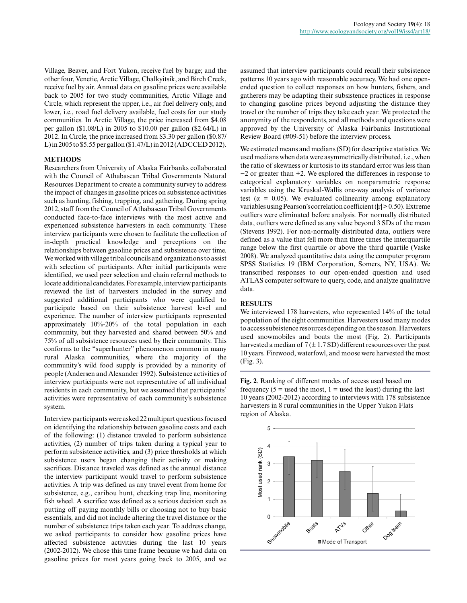Village, Beaver, and Fort Yukon, receive fuel by barge; and the other four, Venetie, Arctic Village, Chalkyitsik, and Birch Creek, receive fuel by air. Annual data on gasoline prices were available back to 2005 for two study communities, Arctic Village and Circle, which represent the upper, i.e., air fuel delivery only, and lower, i.e., road fuel delivery available, fuel costs for our study communities. In Arctic Village, the price increased from \$4.08 per gallon (\$1.08/L) in 2005 to \$10.00 per gallon (\$2.64/L) in 2012. In Circle, the price increased from \$3.30 per gallon (\$0.87/ L) in 2005 to \$5.55 per gallon (\$1.47/L) in 2012 (ADCCED 2012).

## **METHODS**

Researchers from University of Alaska Fairbanks collaborated with the Council of Athabascan Tribal Governments Natural Resources Department to create a community survey to address the impact of changes in gasoline prices on subsistence activities such as hunting, fishing, trapping, and gathering. During spring 2012, staff from the Council of Athabascan Tribal Governments conducted face-to-face interviews with the most active and experienced subsistence harvesters in each community. These interview participants were chosen to facilitate the collection of in-depth practical knowledge and perceptions on the relationships between gasoline prices and subsistence over time. We worked with village tribal councils and organizations to assist with selection of participants. After initial participants were identified, we used peer selection and chain referral methods to locate additional candidates. For example, interview participants reviewed the list of harvesters included in the survey and suggested additional participants who were qualified to participate based on their subsistence harvest level and experience. The number of interview participants represented approximately 10%-20% of the total population in each community, but they harvested and shared between 50% and 75% of all subsistence resources used by their community. This conforms to the "superhunter" phenomenon common in many rural Alaska communities, where the majority of the community's wild food supply is provided by a minority of people (Andersen and Alexander 1992). Subsistence activities of interview participants were not representative of all individual residents in each community, but we assumed that participants' activities were representative of each community's subsistence system.

Interview participants were asked 22 multipart questions focused on identifying the relationship between gasoline costs and each of the following: (1) distance traveled to perform subsistence activities, (2) number of trips taken during a typical year to perform subsistence activities, and (3) price thresholds at which subsistence users began changing their activity or making sacrifices. Distance traveled was defined as the annual distance the interview participant would travel to perform subsistence activities. A trip was defined as any travel event from home for subsistence, e.g., caribou hunt, checking trap line, monitoring fish wheel. A sacrifice was defined as a serious decision such as putting off paying monthly bills or choosing not to buy basic essentials, and did not include altering the travel distance or the number of subsistence trips taken each year. To address change, we asked participants to consider how gasoline prices have affected subsistence activities during the last 10 years (2002-2012). We chose this time frame because we had data on gasoline prices for most years going back to 2005, and we

assumed that interview participants could recall their subsistence patterns 10 years ago with reasonable accuracy. We had one openended question to collect responses on how hunters, fishers, and gatherers may be adapting their subsistence practices in response to changing gasoline prices beyond adjusting the distance they travel or the number of trips they take each year. We protected the anonymity of the respondents, and all methods and questions were approved by the University of Alaska Fairbanks Institutional Review Board (#09-51) before the interview process.

We estimated means and medians (SD) for descriptive statistics. We used medians when data were asymmetrically distributed, i.e., when the ratio of skewness or kurtosis to its standard error was less than −2 or greater than +2. We explored the differences in response to categorical explanatory variables on nonparametric response variables using the Kruskal-Wallis one-way analysis of variance test ( $\alpha$  = 0.05). We evaluated collinearity among explanatory variables using Pearson's correlation coefficient ( $|r| > 0.50$ ). Extreme outliers were eliminated before analysis. For normally distributed data, outliers were defined as any value beyond 3 SDs of the mean (Stevens 1992). For non-normally distributed data, outliers were defined as a value that fell more than three times the interquartile range below the first quartile or above the third quartile (Vaske 2008). We analyzed quantitative data using the computer program SPSS Statistics 19 (IBM Corporation, Somers, NY, USA). We transcribed responses to our open-ended question and used ATLAS computer software to query, code, and analyze qualitative data.

## **RESULTS**

We interviewed 178 harvesters, who represented 14% of the total population of the eight communities. Harvesters used many modes to access subsistence resources depending on the season. Harvesters used snowmobiles and boats the most (Fig. 2). Participants harvested a median of  $7 (\pm 1.7 \text{ SD})$  different resources over the past 10 years. Firewood, waterfowl, and moose were harvested the most (Fig. 3).

**Fig. 2**. Ranking of different modes of access used based on frequency ( $5 =$  used the most,  $1 =$  used the least) during the last 10 years (2002-2012) according to interviews with 178 subsistence harvesters in 8 rural communities in the Upper Yukon Flats region of Alaska.

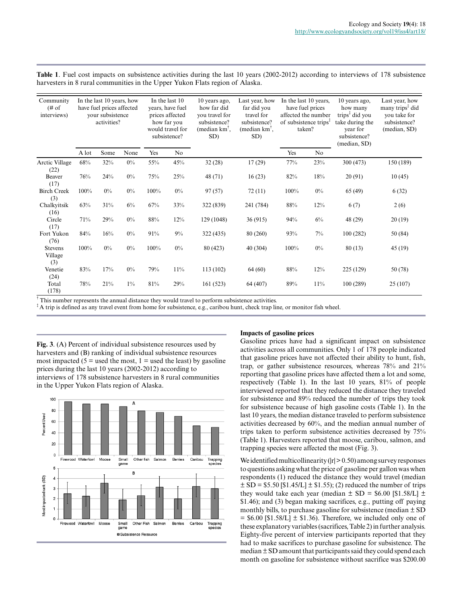**Table 1**. Fuel cost impacts on subsistence activities during the last 10 years (2002-2012) according to interviews of 178 subsistence harvesters in 8 rural communities in the Upper Yukon Flats region of Alaska.

| Community<br>$(\# \text{ of }$<br>interviews) | In the last 10 years, how<br>have fuel prices affected<br>your subsistence<br>activities? |       |       | In the last 10<br>years, have fuel<br>prices affected<br>how far you<br>would travel for<br>subsistence? |       | 10 years ago,<br>how far did<br>you travel for<br>subsistence?<br>(median $kmT$ ,<br>SD) | Last year, how<br>far did you<br>travel for<br>subsistence?<br>(median km <sup>7</sup> )<br>SD) | In the last 10 years,<br>affected the number<br>of subsistence trips <sup>+</sup> | have fuel prices<br>taken? | 10 years ago,<br>how many<br>trips <sup>1</sup> did you<br>take during the<br>year for<br>subsistence?<br>(median, SD) | Last year, how<br>many trips <sup>1</sup> did<br>you take for<br>subsistence?<br>(median, SD) |
|-----------------------------------------------|-------------------------------------------------------------------------------------------|-------|-------|----------------------------------------------------------------------------------------------------------|-------|------------------------------------------------------------------------------------------|-------------------------------------------------------------------------------------------------|-----------------------------------------------------------------------------------|----------------------------|------------------------------------------------------------------------------------------------------------------------|-----------------------------------------------------------------------------------------------|
|                                               | A lot                                                                                     | Some  | None  | Yes                                                                                                      | No    |                                                                                          |                                                                                                 | Yes                                                                               | N <sub>0</sub>             |                                                                                                                        |                                                                                               |
| Arctic Village<br>(22)                        | 68%                                                                                       | 32%   | $0\%$ | 55%                                                                                                      | 45%   | 32(28)                                                                                   | 17(29)                                                                                          | 77%                                                                               | 23%                        | 300 (473)                                                                                                              | 150 (189)                                                                                     |
| Beaver<br>(17)                                | 76%                                                                                       | 24%   | $0\%$ | 75%                                                                                                      | 25%   | 48 (71)                                                                                  | 16(23)                                                                                          | 82%                                                                               | 18%                        | 20(91)                                                                                                                 | 10(45)                                                                                        |
| <b>Birch Creek</b><br>(3)                     | 100%                                                                                      | $0\%$ | $0\%$ | 100%                                                                                                     | $0\%$ | 97(57)                                                                                   | 72(11)                                                                                          | 100%                                                                              | $0\%$                      | 65 (49)                                                                                                                | 6(32)                                                                                         |
| Chalkyitsik<br>(16)                           | 63%                                                                                       | 31%   | $6\%$ | 67%                                                                                                      | 33%   | 322 (839)                                                                                | 241 (784)                                                                                       | 88%                                                                               | 12%                        | 6(7)                                                                                                                   | 2(6)                                                                                          |
| Circle<br>(17)                                | 71%                                                                                       | 29%   | $0\%$ | 88%                                                                                                      | 12%   | 129 (1048)                                                                               | 36(915)                                                                                         | 94%                                                                               | $6\%$                      | 48 (29)                                                                                                                | 20(19)                                                                                        |
| Fort Yukon<br>(76)                            | 84%                                                                                       | 16%   | $0\%$ | 91%                                                                                                      | 9%    | 322 (435)                                                                                | 80 (260)                                                                                        | 93%                                                                               | $7\%$                      | 100(282)                                                                                                               | 50 (84)                                                                                       |
| <b>Stevens</b><br>Village<br>(3)              | 100%                                                                                      | $0\%$ | $0\%$ | 100%                                                                                                     | $0\%$ | 80 (423)                                                                                 | 40(304)                                                                                         | 100%                                                                              | $0\%$                      | 80(13)                                                                                                                 | 45(19)                                                                                        |
| Venetie<br>(24)                               | 83%                                                                                       | 17%   | $0\%$ | 79%                                                                                                      | 11%   | 113(102)                                                                                 | 64(60)                                                                                          | 88%                                                                               | 12%                        | 225 (129)                                                                                                              | 50(78)                                                                                        |
| Total<br>(178)                                | 78%                                                                                       | 21%   | $1\%$ | 81%                                                                                                      | 29%   | 161 (523)                                                                                | 64 (407)                                                                                        | 89%                                                                               | 11%                        | 100 (289)                                                                                                              | 25(107)                                                                                       |

† This number represents the annual distance they would travel to perform subsistence activities.

‡ A trip is defined as any travel event from home for subsistence, e.g., caribou hunt, check trap line, or monitor fish wheel.

**Fig. 3**. (A) Percent of individual subsistence resources used by harvesters and (B) ranking of individual subsistence resources most impacted ( $5$  = used the most,  $1$  = used the least) by gasoline prices during the last 10 years (2002-2012) according to interviews of 178 subsistence harvesters in 8 rural communities in the Upper Yukon Flats region of Alaska.



## **Impacts of gasoline prices**

Gasoline prices have had a significant impact on subsistence activities across all communities. Only 1 of 178 people indicated that gasoline prices have not affected their ability to hunt, fish, trap, or gather subsistence resources, whereas 78% and 21% reporting that gasoline prices have affected them a lot and some, respectively (Table 1). In the last 10 years, 81% of people interviewed reported that they reduced the distance they traveled for subsistence and 89% reduced the number of trips they took for subsistence because of high gasoline costs (Table 1). In the last 10 years, the median distance traveled to perform subsistence activities decreased by 60%, and the median annual number of trips taken to perform subsistence activities decreased by 75% (Table 1). Harvesters reported that moose, caribou, salmon, and trapping species were affected the most (Fig. 3).

We identified multicollinearity  $(|r| > 0.50)$  among survey responses to questions asking what the price of gasoline per gallon was when respondents (1) reduced the distance they would travel (median  $\pm$  SD = \$5.50 [\$1.45/L]  $\pm$  \$1.55); (2) reduced the number of trips they would take each year (median  $\pm$  SD = \$6.00 [\$1.58/L]  $\pm$ \$1.46); and (3) began making sacrifices, e.g., putting off paying monthly bills, to purchase gasoline for subsistence (median  $\pm$  SD  $=$  \$6.00 [\$1.58/L]  $\pm$  \$1.36). Therefore, we included only one of these explanatory variables (sacrifices, Table 2) in further analysis. Eighty-five percent of interview participants reported that they had to make sacrifices to purchase gasoline for subsistence. The median ± SD amount that participants said they could spend each month on gasoline for subsistence without sacrifice was \$200.00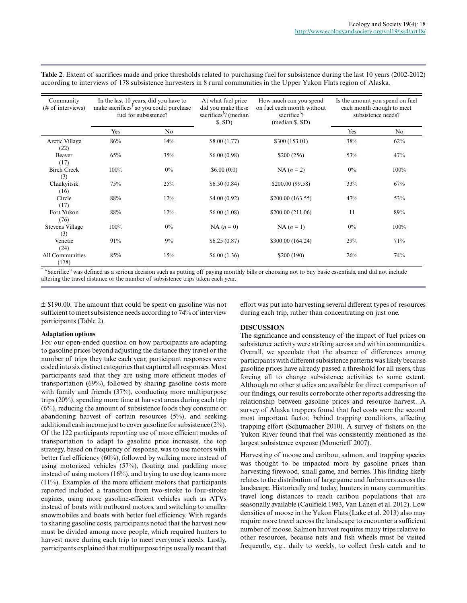**Table 2**. Extent of sacrifices made and price thresholds related to purchasing fuel for subsistence during the last 10 years (2002-2012) according to interviews of 178 subsistence harvesters in 8 rural communities in the Upper Yukon Flats region of Alaska.

| Community<br>(# of interviews) | In the last 10 years, did you have to<br>make sacrifices <sup>†</sup> so you could purchase<br>fuel for subsistence? |       | At what fuel price<br>did you make these<br>sacrifices <sup>†</sup> ? (median<br>$\S$ , SD) | How much can you spend<br>on fuel each month without<br>sacrifice <sup>†</sup> ?<br>(median \$, SD) | Is the amount you spend on fuel<br>each month enough to meet<br>subsistence needs? |                |
|--------------------------------|----------------------------------------------------------------------------------------------------------------------|-------|---------------------------------------------------------------------------------------------|-----------------------------------------------------------------------------------------------------|------------------------------------------------------------------------------------|----------------|
|                                | Yes                                                                                                                  | No.   |                                                                                             |                                                                                                     | Yes                                                                                | N <sub>o</sub> |
| Arctic Village<br>(22)         | 86%                                                                                                                  | 14%   | \$8.00(1.77)                                                                                | \$300 (153.01)                                                                                      | 38%                                                                                | 62%            |
| Beaver<br>(17)                 | 65%                                                                                                                  | 35%   | \$6.00(0.98)                                                                                | \$200(256)                                                                                          | 53%                                                                                | 47%            |
| <b>Birch Creek</b><br>(3)      | 100%                                                                                                                 | $0\%$ | \$6.00(0.0)                                                                                 | $NA(n=2)$                                                                                           | $0\%$                                                                              | $100\%$        |
| Chalkyitsik<br>(16)            | 75%                                                                                                                  | 25%   | \$6.50(0.84)                                                                                | \$200.00 (99.58)                                                                                    | 33%                                                                                | 67%            |
| Circle<br>(17)                 | 88%                                                                                                                  | 12%   | \$4.00(0.92)                                                                                | \$200.00 (163.55)                                                                                   | 47%                                                                                | 53%            |
| Fort Yukon<br>(76)             | 88%                                                                                                                  | 12%   | \$6.00(1.08)                                                                                | \$200.00 (211.06)                                                                                   | 11                                                                                 | 89%            |
| <b>Stevens Village</b><br>(3)  | 100%                                                                                                                 | $0\%$ | $NA(n=0)$                                                                                   | $NA(n=1)$                                                                                           | $0\%$                                                                              | $100\%$        |
| Venetie<br>(24)                | 91%                                                                                                                  | 9%    | \$6.25(0.87)                                                                                | \$300.00 (164.24)                                                                                   | 29%                                                                                | 71%            |
| All Communities<br>(178)       | 85%                                                                                                                  | 15%   | \$6.00(1.36)                                                                                | \$200 (190)                                                                                         | 26%                                                                                | 74%            |

† "Sacrifice" was defined as a serious decision such as putting off paying monthly bills or choosing not to buy basic essentials, and did not include altering the travel distance or the number of subsistence trips taken each year.

± \$190.00. The amount that could be spent on gasoline was not sufficient to meet subsistence needs according to 74% of interview participants (Table 2).

# effort was put into harvesting several different types of resources during each trip, rather than concentrating on just one.

## **Adaptation options**

For our open-ended question on how participants are adapting to gasoline prices beyond adjusting the distance they travel or the number of trips they take each year, participant responses were coded into six distinct categories that captured all responses. Most participants said that they are using more efficient modes of transportation (69%), followed by sharing gasoline costs more with family and friends (37%), conducting more multipurpose trips (20%), spending more time at harvest areas during each trip (6%), reducing the amount of subsistence foods they consume or abandoning harvest of certain resources (5%), and seeking additional cash income just to cover gasoline for subsistence (2%). Of the 122 participants reporting use of more efficient modes of transportation to adapt to gasoline price increases, the top strategy, based on frequency of response, was to use motors with better fuel efficiency (60%), followed by walking more instead of using motorized vehicles (57%), floating and paddling more instead of using motors (16%), and trying to use dog teams more  $(11\%)$ . Examples of the more efficient motors that participants reported included a transition from two-stroke to four-stroke engines, using more gasoline-efficient vehicles such as ATVs instead of boats with outboard motors, and switching to smaller snowmobiles and boats with better fuel efficiency. With regards to sharing gasoline costs, participants noted that the harvest now must be divided among more people, which required hunters to harvest more during each trip to meet everyone's needs. Lastly, participants explained that multipurpose trips usually meant that

## **DISCUSSION**

The significance and consistency of the impact of fuel prices on subsistence activity were striking across and within communities. Overall, we speculate that the absence of differences among participants with different subsistence patterns was likely because gasoline prices have already passed a threshold for all users, thus forcing all to change subsistence activities to some extent. Although no other studies are available for direct comparison of our findings, our results corroborate other reports addressing the relationship between gasoline prices and resource harvest. A survey of Alaska trappers found that fuel costs were the second most important factor, behind trapping conditions, affecting trapping effort (Schumacher 2010). A survey of fishers on the Yukon River found that fuel was consistently mentioned as the largest subsistence expense (Moncrieff 2007).

Harvesting of moose and caribou, salmon, and trapping species was thought to be impacted more by gasoline prices than harvesting firewood, small game, and berries. This finding likely relates to the distribution of large game and furbearers across the landscape. Historically and today, hunters in many communities travel long distances to reach caribou populations that are seasonally available (Caulfield 1983, Van Lanen et al. 2012). Low densities of moose in the Yukon Flats (Lake et al. 2013) also may require more travel across the landscape to encounter a sufficient number of moose. Salmon harvest requires many trips relative to other resources, because nets and fish wheels must be visited frequently, e.g., daily to weekly, to collect fresh catch and to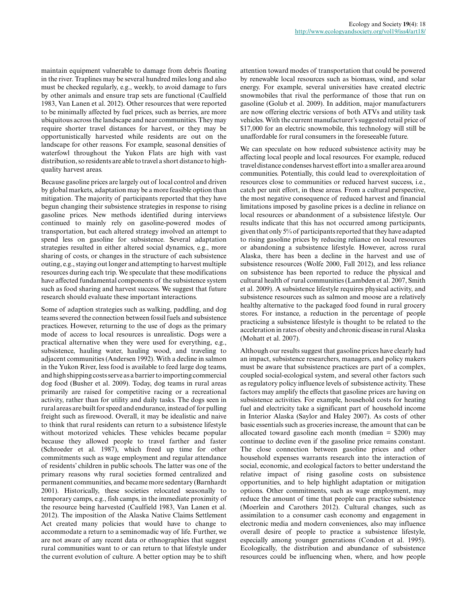maintain equipment vulnerable to damage from debris floating in the river. Traplines may be several hundred miles long and also must be checked regularly, e.g., weekly, to avoid damage to furs by other animals and ensure trap sets are functional (Caulfield 1983, Van Lanen et al. 2012). Other resources that were reported to be minimally affected by fuel prices, such as berries, are more ubiquitous across the landscape and near communities. They may require shorter travel distances for harvest, or they may be opportunistically harvested while residents are out on the landscape for other reasons. For example, seasonal densities of waterfowl throughout the Yukon Flats are high with vast distribution, so residents are able to travel a short distance to highquality harvest areas.

Because gasoline prices are largely out of local control and driven by global markets, adaptation may be a more feasible option than mitigation. The majority of participants reported that they have begun changing their subsistence strategies in response to rising gasoline prices. New methods identified during interviews continued to mainly rely on gasoline-powered modes of transportation, but each altered strategy involved an attempt to spend less on gasoline for subsistence. Several adaptation strategies resulted in either altered social dynamics, e.g., more sharing of costs, or changes in the structure of each subsistence outing, e.g., staying out longer and attempting to harvest multiple resources during each trip. We speculate that these modifications have affected fundamental components of the subsistence system such as food sharing and harvest success. We suggest that future research should evaluate these important interactions.

Some of adaption strategies such as walking, paddling, and dog teams severed the connection between fossil fuels and subsistence practices. However, returning to the use of dogs as the primary mode of access to local resources is unrealistic. Dogs were a practical alternative when they were used for everything, e.g., subsistence, hauling water, hauling wood, and traveling to adjacent communities (Andersen 1992). With a decline in salmon in the Yukon River, less food is available to feed large dog teams, and high shipping costs serve as a barrier to importing commercial dog food (Busher et al. 2009). Today, dog teams in rural areas primarily are raised for competitive racing or a recreational activity, rather than for utility and daily tasks. The dogs seen in rural areas are built for speed and endurance, instead of for pulling freight such as firewood. Overall, it may be idealistic and naive to think that rural residents can return to a subsistence lifestyle without motorized vehicles. These vehicles became popular because they allowed people to travel farther and faster (Schroeder et al. 1987), which freed up time for other commitments such as wage employment and regular attendance of residents' children in public schools. The latter was one of the primary reasons why rural societies formed centralized and permanent communities, and became more sedentary (Barnhardt 2001). Historically, these societies relocated seasonally to temporary camps, e.g., fish camps, in the immediate proximity of the resource being harvested (Caulfield 1983, Van Lanen et al. 2012). The imposition of the Alaska Native Claims Settlement Act created many policies that would have to change to accommodate a return to a seminomadic way of life. Further, we are not aware of any recent data or ethnographies that suggest rural communities want to or can return to that lifestyle under the current evolution of culture. A better option may be to shift

attention toward modes of transportation that could be powered by renewable local resources such as biomass, wind, and solar energy. For example, several universities have created electric snowmobiles that rival the performance of those that run on gasoline (Golub et al. 2009). In addition, major manufacturers are now offering electric versions of both ATVs and utility task vehicles. With the current manufacturer's suggested retail price of \$17,000 for an electric snowmobile, this technology will still be unaffordable for rural consumers in the foreseeable future.

We can speculate on how reduced subsistence activity may be affecting local people and local resources. For example, reduced travel distance condenses harvest effort into a smaller area around communities. Potentially, this could lead to overexploitation of resources close to communities or reduced harvest success, i.e., catch per unit effort, in these areas. From a cultural perspective, the most negative consequence of reduced harvest and financial limitations imposed by gasoline prices is a decline in reliance on local resources or abandonment of a subsistence lifestyle. Our results indicate that this has not occurred among participants, given that only 5% of participants reported that they have adapted to rising gasoline prices by reducing reliance on local resources or abandoning a subsistence lifestyle. However, across rural Alaska, there has been a decline in the harvest and use of subsistence resources (Wolfe 2000, Fall 2012), and less reliance on subsistence has been reported to reduce the physical and cultural health of rural communities (Lambden et al. 2007, Smith et al. 2009). A subsistence lifestyle requires physical activity, and subsistence resources such as salmon and moose are a relatively healthy alternative to the packaged food found in rural grocery stores. For instance, a reduction in the percentage of people practicing a subsistence lifestyle is thought to be related to the acceleration in rates of obesity and chronic disease in rural Alaska (Mohatt et al. 2007).

Although our results suggest that gasoline prices have clearly had an impact, subsistence researchers, managers, and policy makers must be aware that subsistence practices are part of a complex, coupled social-ecological system, and several other factors such as regulatory policy influence levels of subsistence activity. These factors may amplify the effects that gasoline prices are having on subsistence activities. For example, household costs for heating fuel and electricity take a significant part of household income in Interior Alaska (Saylor and Haley 2007). As costs of other basic essentials such as groceries increase, the amount that can be allocated toward gasoline each month (median  $=$  \$200) may continue to decline even if the gasoline price remains constant. The close connection between gasoline prices and other household expenses warrants research into the interaction of social, economic, and ecological factors to better understand the relative impact of rising gasoline costs on subsistence opportunities, and to help highlight adaptation or mitigation options. Other commitments, such as wage employment, may reduce the amount of time that people can practice subsistence (Moerlein and Carothers 2012). Cultural changes, such as assimilation to a consumer cash economy and engagement in electronic media and modern conveniences, also may influence overall desire of people to practice a subsistence lifestyle, especially among younger generations (Condon et al. 1995). Ecologically, the distribution and abundance of subsistence resources could be influencing when, where, and how people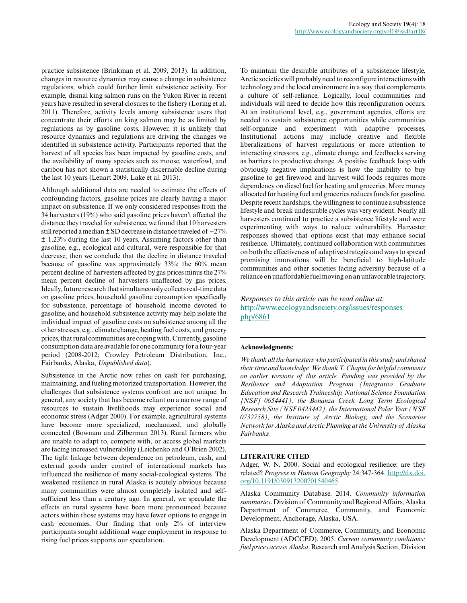practice subsistence (Brinkman et al. 2009, 2013). In addition, changes in resource dynamics may cause a change in subsistence regulations, which could further limit subsistence activity. For example, dismal king salmon runs on the Yukon River in recent years have resulted in several closures to the fishery (Loring et al. 2011). Therefore, activity levels among subsistence users that concentrate their efforts on king salmon may be as limited by regulations as by gasoline costs. However, it is unlikely that resource dynamics and regulations are driving the changes we identified in subsistence activity. Participants reported that the harvest of all species has been impacted by gasoline costs, and the availability of many species such as moose, waterfowl, and caribou has not shown a statistically discernable decline during the last 10 years (Lenart 2009, Lake et al. 2013).

Although additional data are needed to estimate the effects of confounding factors, gasoline prices are clearly having a major impact on subsistence. If we only considered responses from the 34 harvesters (19%) who said gasoline prices haven't affected the distance they traveled for subsistence, we found that 10 harvesters still reported a median ± SD decrease in distance traveled of −27% ± 1.23% during the last 10 years. Assuming factors other than gasoline, e.g., ecological and cultural, were responsible for that decrease, then we conclude that the decline in distance traveled because of gasoline was approximately 33%: the 60% mean percent decline of harvesters affected by gas prices minus the 27% mean percent decline of harvesters unaffected by gas prices. Ideally, future research that simultaneously collects real-time data on gasoline prices, household gasoline consumption specifically for subsistence, percentage of household income devoted to gasoline, and household subsistence activity may help isolate the individual impact of gasoline costs on subsistence among all the other stresses, e.g., climate change, heating fuel costs, and grocery prices, that rural communities are coping with. Currently, gasoline consumption data are available for one community for a four-year period (2008-2012; Crowley Petroleum Distribution, Inc., Fairbanks, Alaska, *Unpublished data*).

Subsistence in the Arctic now relies on cash for purchasing, maintaining, and fueling motorized transportation. However, the challenges that subsistence systems confront are not unique. In general, any society that has become reliant on a narrow range of resources to sustain livelihoods may experience social and economic stress (Adger 2000). For example, agricultural systems have become more specialized, mechanized, and globally connected (Bowman and Zilberman 2013). Rural farmers who are unable to adapt to, compete with, or access global markets are facing increased vulnerability (Leichenko and O'Brien 2002). The tight linkage between dependence on petroleum, cash, and external goods under control of international markets has influenced the resilience of many social-ecological systems. The weakened resilience in rural Alaska is acutely obvious because many communities were almost completely isolated and selfsufficient less than a century ago. In general, we speculate the effects on rural systems have been more pronounced because actors within those systems may have fewer options to engage in cash economies. Our finding that only 2% of interview participants sought additional wage employment in response to rising fuel prices supports our speculation.

To maintain the desirable attributes of a subsistence lifestyle, Arctic societies will probably need to reconfigure interactions with technology and the local environment in a way that complements a culture of self-reliance. Logically, local communities and individuals will need to decide how this reconfiguration occurs. At an institutional level, e.g., government agencies, efforts are needed to sustain subsistence opportunities while communities self-organize and experiment with adaptive processes. Institutional actions may include creative and flexible liberalizations of harvest regulations or more attention to interacting stressors, e.g., climate change, and feedbacks serving as barriers to productive change. A positive feedback loop with obviously negative implications is how the inability to buy gasoline to get firewood and harvest wild foods requires more dependency on diesel fuel for heating and groceries. More money allocated for heating fuel and groceries reduces funds for gasoline. Despite recent hardships, the willingness to continue a subsistence lifestyle and break undesirable cycles was very evident. Nearly all harvesters continued to practice a subsistence lifestyle and were experimenting with ways to reduce vulnerability. Harvester responses showed that options exist that may enhance social resilience. Ultimately, continued collaboration with communities on both the effectiveness of adaptive strategies and ways to spread promising innovations will be beneficial to high-latitude communities and other societies facing adversity because of a reliance on unaffordable fuel moving on an unfavorable trajectory.

*Responses to this article can be read online at:* [http://www.ecologyandsociety.org/issues/responses.](http://www.ecologyandsociety.org/issues/responses.php/6861) [php/6861](http://www.ecologyandsociety.org/issues/responses.php/6861)

## **Acknowledgments:**

*We thank all the harvesters who participated in this study and shared their time and knowledge. We thank T. Chapin for helpful comments on earlier versions of this article. Funding was provided by the Resilience and Adaptation Program (Integrative Graduate Education and Research Traineeship, National Science Foundation [NSF] 0654441), the Bonanza Creek Long Term Ecological Research Site (NSF 0423442), the International Polar Year (NSF 0732758), the Institute of Arctic Biology, and the Scenarios Network for Alaska and Arctic Planning at the University of Alaska Fairbanks.*

#### **LITERATURE CITED**

Adger, W. N. 2000. Social and ecological resilience: are they related? *Progress in Human Geography* 24:347-364. [http://dx.doi.](http://dx.doi.org/10.1191%2F030913200701540465) [org/10.1191/030913200701540465](http://dx.doi.org/10.1191%2F030913200701540465)

Alaska Community Database. 2014. *Community information summaries*. Division of Community and Regional Affairs, Alaska Department of Commerce, Community, and Economic Development, Anchorage, Alaska, USA.

Alaska Department of Commerce, Community, and Economic Development (ADCCED). 2005. *Current community conditions: fuel prices across Alaska*. Research and Analysis Section, Division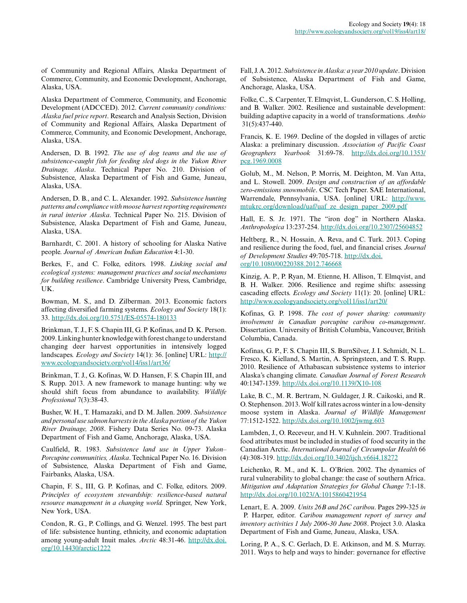of Community and Regional Affairs, Alaska Department of Commerce, Community, and Economic Development, Anchorage, Alaska, USA.

Alaska Department of Commerce, Community, and Economic Development (ADCCED). 2012. *Current community conditions: Alaska fuel price report*. Research and Analysis Section, Division of Community and Regional Affairs, Alaska Department of Commerce, Community, and Economic Development, Anchorage, Alaska, USA.

Andersen, D. B. 1992. *The use of dog teams and the use of subsistence-caught fish for feeding sled dogs in the Yukon River Drainage, Alaska*. Technical Paper No. 210. Division of Subsistence, Alaska Department of Fish and Game, Juneau, Alaska, USA.

Andersen, D. B., and C. L. Alexander. 1992. *Subsistence hunting patterns and compliance with moose harvest reporting requirements in rural interior Alaska*. Technical Paper No. 215. Division of Subsistence, Alaska Department of Fish and Game, Juneau, Alaska, USA.

Barnhardt, C. 2001. A history of schooling for Alaska Native people. *Journal of American Indian Education* 4:1-30.

Berkes, F., and C. Folke, editors. 1998. *Linking social and ecological systems: management practices and social mechanisms for building resilience*. Cambridge University Press, Cambridge, UK.

Bowman, M. S., and D. Zilberman. 2013. Economic factors affecting diversified farming systems. *Ecology and Society* 18(1): 33. [http://dx.doi.org/10.5751/ES-05574-180133](http://dx.doi.org/10.5751%2FES-05574-180133)

Brinkman, T. J., F. S. Chapin III, G. P. Kofinas, and D. K. Person. 2009. Linking hunter knowledge with forest change to understand changing deer harvest opportunities in intensively logged landscapes. *Ecology and Society* 14(1): 36. [online] URL: [http://](http://www.ecologyandsociety.org/vol14/iss1/art36/) [www.ecologyandsociety.org/vol14/iss1/art36/](http://www.ecologyandsociety.org/vol14/iss1/art36/)

Brinkman, T. J., G. Kofinas, W. D. Hansen, F. S. Chapin III, and S. Rupp. 2013. A new framework to manage hunting: why we should shift focus from abundance to availability. *Wildlife Professional* 7(3):38-43.

Busher, W. H., T. Hamazaki, and D. M. Jallen. 2009. *Subsistence and personal use salmon harvests in the Alaska portion of the Yukon River Drainage, 2008*. Fishery Data Series No. 09-73. Alaska Department of Fish and Game, Anchorage, Alaska, USA.

Caulfield, R. 1983. *Subsistence land use in Upper Yukon– Porcupine communities, Alaska*. Technical Paper No. 16. Division of Subsistence, Alaska Department of Fish and Game, Fairbanks, Alaska, USA.

Chapin, F. S., III, G. P. Kofinas, and C. Folke, editors. 2009. *Principles of ecosystem stewardship: resilience-based natural resource management in a changing world.* Springer, New York, New York, USA.

Condon, R. G., P. Collings, and G. Wenzel. 1995. The best part of life: subsistence hunting, ethnicity, and economic adaptation among young-adult Inuit males. *Arctic* 48:31-46. [http://dx.doi.](http://dx.doi.org/10.14430%2Farctic1222) [org/10.14430/arctic1222](http://dx.doi.org/10.14430%2Farctic1222)

Fall, J. A. 2012. *Subsistence in Alaska: a year 2010 update*. Division of Subsistence, Alaska Department of Fish and Game, Anchorage, Alaska, USA.

Folke, C., S. Carpenter, T. Elmqvist, L. Gunderson, C. S. Holling, and B. Walker. 2002. Resilience and sustainable development: building adaptive capacity in a world of transformations. *Ambio* 31(5):437-440.

Francis, K. E. 1969. Decline of the dogsled in villages of arctic Alaska: a preliminary discussion. *Association of Pacific Coast Geographers Yearbook* 31:69-78. [http://dx.doi.org/10.1353/](http://dx.doi.org/10.1353%2Fpcg.1969.0008) [pcg.1969.0008](http://dx.doi.org/10.1353%2Fpcg.1969.0008)

Golub, M., M. Nelson, P. Morris, M. Deighton, M. Van Atta, and L. Stowell. 2009. *Design and construction of an affordable zero-emissions snowmobile*. CSC Tech Paper. SAE International, Warrendale, Pennsylvania, USA. [online] URL: [http://www.](http://www.mtukrc.org/download/uaf/uaf_ze_design_paper_2009.pdf) [mtukrc.org/download/uaf/uaf\\_ze\\_design\\_paper\\_2009.pdf](http://www.mtukrc.org/download/uaf/uaf_ze_design_paper_2009.pdf)

Hall, E. S. Jr. 1971. The "iron dog" in Northern Alaska. *Anthropologica* 13:237-254. [http://dx.doi.org/10.2307/25604852](http://dx.doi.org/10.2307%2F25604852) 

Heltberg, R., N. Hossain, A. Reva, and C. Turk. 2013. Coping and resilience during the food, fuel, and financial crises. *Journal of Development Studies* 49:705-718. [http://dx.doi.](http://dx.doi.org/10.1080%2F00220388.2012.746668) [org/10.1080/00220388.2012.746668](http://dx.doi.org/10.1080%2F00220388.2012.746668)

Kinzig, A. P., P. Ryan, M. Etienne, H. Allison, T. Elmqvist, and B. H. Walker. 2006. Resilience and regime shifts: assessing cascading effects. *Ecology and Society* 11(1): 20. [online] URL: <http://www.ecologyandsociety.org/vol11/iss1/art20/>

Kofinas, G. P. 1998. *The cost of power sharing: community involvement in Canadian porcupine caribou co-management*. Dissertation. University of British Columbia, Vancouver, British Columbia, Canada.

Kofinas, G. P., F. S. Chapin III, S. BurnSilver, J. I. Schmidt, N. L. Fresco, K. Kielland, S. Martin, A. Springsteen, and T. S. Rupp. 2010. Resilience of Athabascan subsistence systems to interior Alaska's changing climate. *Canadian Journal of Forest Research* 40:1347-1359. [http://dx.doi.org/10.1139/X10-108](http://dx.doi.org/10.1139%2FX10-108)

Lake, B. C., M. R. Bertram, N. Guldager, J. R. Caikoski, and R. O. Stephenson. 2013. Wolf kill rates across winter in a low-density moose system in Alaska. *Journal of Wildlife Management* 77:1512-1522. [http://dx.doi.org/10.1002/jwmg.603](http://dx.doi.org/10.1002%2Fjwmg.603)

Lambden, J., O. Receveur, and H. V. Kuhnlein. 2007. Traditional food attributes must be included in studies of food security in the Canadian Arctic. *International Journal of Circumpolar Health* 66 (4):308-319. [http://dx.doi.org/10.3402/ijch.v66i4.18272](http://dx.doi.org/10.3402%2Fijch.v66i4.18272)

Leichenko, R. M., and K. L. O'Brien. 2002. The dynamics of rural vulnerability to global change: the case of southern Africa. *Mitigation and Adaptation Strategies for Global Change* 7:1-18. [http://dx.doi.org/10.1023/A:1015860421954](http://dx.doi.org/10.1023%2FA%3A1015860421954)

Lenart, E. A. 2009. *Units 26B and 26C caribou*. Pages 299-325 *in* P. Harper, editor. *Caribou management report of survey and inventory activities 1 July 2006-30 June 2008*. Project 3.0. Alaska Department of Fish and Game, Juneau, Alaska, USA.

Loring, P. A., S. C. Gerlach, D. E. Atkinson, and M. S. Murray. 2011. Ways to help and ways to hinder: governance for effective